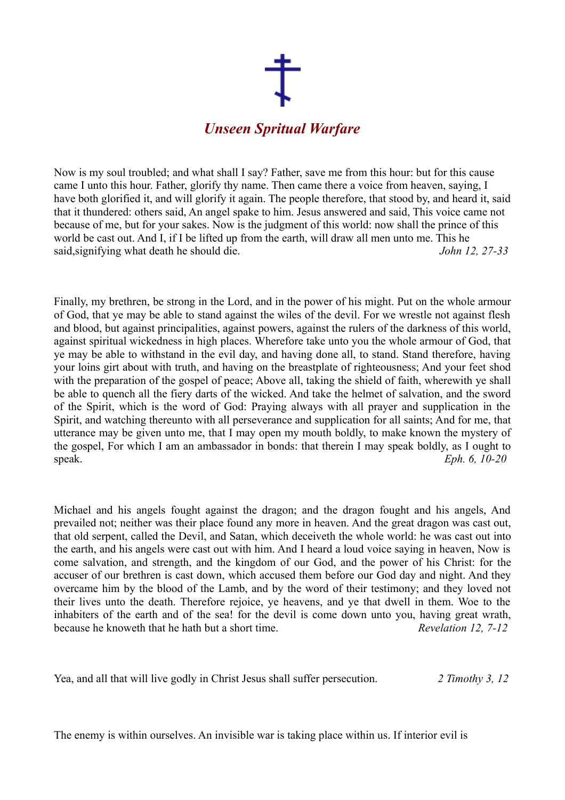

Now is my soul troubled; and what shall I say? Father, save me from this hour: but for this cause came I unto this hour. Father, glorify thy name. Then came there a voice from heaven, saying, I have both glorified it, and will glorify it again. The people therefore, that stood by, and heard it, said that it thundered: others said, An angel spake to him. Jesus answered and said, This voice came not because of me, but for your sakes. Now is the judgment of this world: now shall the prince of this world be cast out. And I, if I be lifted up from the earth, will draw all men unto me. This he said,signifying what death he should die. *John 12, 27-33*

Finally, my brethren, be strong in the Lord, and in the power of his might. Put on the whole armour of God, that ye may be able to stand against the wiles of the devil. For we wrestle not against flesh and blood, but against principalities, against powers, against the rulers of the darkness of this world, against spiritual wickedness in high places. Wherefore take unto you the whole armour of God, that ye may be able to withstand in the evil day, and having done all, to stand. Stand therefore, having your loins girt about with truth, and having on the breastplate of righteousness; And your feet shod with the preparation of the gospel of peace; Above all, taking the shield of faith, wherewith ye shall be able to quench all the fiery darts of the wicked. And take the helmet of salvation, and the sword of the Spirit, which is the word of God: Praying always with all prayer and supplication in the Spirit, and watching thereunto with all perseverance and supplication for all saints; And for me, that utterance may be given unto me, that I may open my mouth boldly, to make known the mystery of the gospel, For which I am an ambassador in bonds: that therein I may speak boldly, as I ought to speak. *Eph. 6, 10-20*

Michael and his angels fought against the dragon; and the dragon fought and his angels, And prevailed not; neither was their place found any more in heaven. And the great dragon was cast out, that old serpent, called the Devil, and Satan, which deceiveth the whole world: he was cast out into the earth, and his angels were cast out with him. And I heard a loud voice saying in heaven, Now is come salvation, and strength, and the kingdom of our God, and the power of his Christ: for the accuser of our brethren is cast down, which accused them before our God day and night. And they overcame him by the blood of the Lamb, and by the word of their testimony; and they loved not their lives unto the death. Therefore rejoice, ye heavens, and ye that dwell in them. Woe to the inhabiters of the earth and of the sea! for the devil is come down unto you, having great wrath, because he knoweth that he hath but a short time. *Revelation 12, 7-12*

Yea, and all that will live godly in Christ Jesus shall suffer persecution. *2 Timothy 3, 12*

The enemy is within ourselves. An invisible war is taking place within us. If interior evil is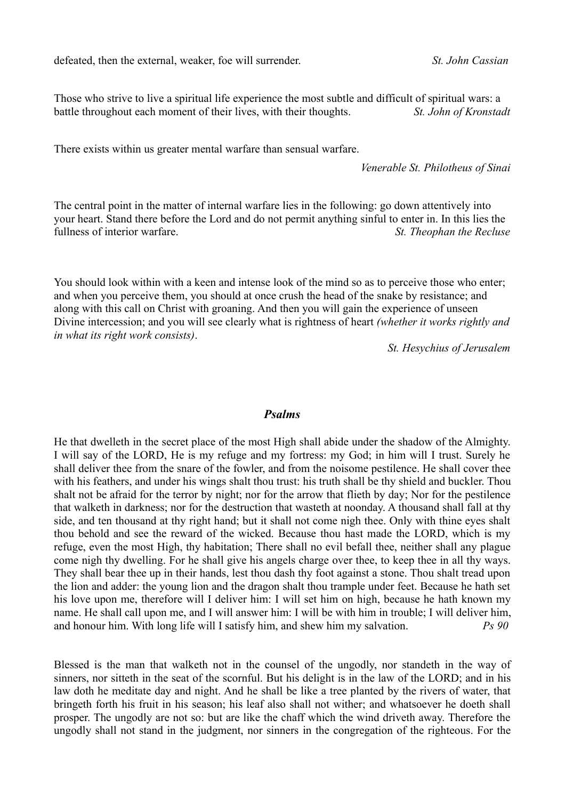defeated, then the external, weaker, foe will surrender. *St. John Cassian*

Those who strive to live a spiritual life experience the most subtle and difficult of spiritual wars: a battle throughout each moment of their lives, with their thoughts. *St. John of Kronstadt*

There exists within us greater mental warfare than sensual warfare.

*Venerable St. Philotheus of Sinai*

The central point in the matter of internal warfare lies in the following: go down attentively into your heart. Stand there before the Lord and do not permit anything sinful to enter in. In this lies the fullness of interior warfare. *St. Theophan the Recluse*

You should look within with a keen and intense look of the mind so as to perceive those who enter; and when you perceive them, you should at once crush the head of the snake by resistance; and along with this call on Christ with groaning. And then you will gain the experience of unseen Divine intercession; and you will see clearly what is rightness of heart *(whether it works rightly and in what its right work consists)*.

*St. Hesychius of Jerusalem*

## *Psalms*

He that dwelleth in the secret place of the most High shall abide under the shadow of the Almighty. I will say of the LORD, He is my refuge and my fortress: my God; in him will I trust. Surely he shall deliver thee from the snare of the fowler, and from the noisome pestilence. He shall cover thee with his feathers, and under his wings shalt thou trust: his truth shall be thy shield and buckler. Thou shalt not be afraid for the terror by night; nor for the arrow that flieth by day; Nor for the pestilence that walketh in darkness; nor for the destruction that wasteth at noonday. A thousand shall fall at thy side, and ten thousand at thy right hand; but it shall not come nigh thee. Only with thine eyes shalt thou behold and see the reward of the wicked. Because thou hast made the LORD, which is my refuge, even the most High, thy habitation; There shall no evil befall thee, neither shall any plague come nigh thy dwelling. For he shall give his angels charge over thee, to keep thee in all thy ways. They shall bear thee up in their hands, lest thou dash thy foot against a stone. Thou shalt tread upon the lion and adder: the young lion and the dragon shalt thou trample under feet. Because he hath set his love upon me, therefore will I deliver him: I will set him on high, because he hath known my name. He shall call upon me, and I will answer him: I will be with him in trouble; I will deliver him, and honour him. With long life will I satisfy him, and shew him my salvation. *Ps 90*

Blessed is the man that walketh not in the counsel of the ungodly, nor standeth in the way of sinners, nor sitteth in the seat of the scornful. But his delight is in the law of the LORD; and in his law doth he meditate day and night. And he shall be like a tree planted by the rivers of water, that bringeth forth his fruit in his season; his leaf also shall not wither; and whatsoever he doeth shall prosper. The ungodly are not so: but are like the chaff which the wind driveth away. Therefore the ungodly shall not stand in the judgment, nor sinners in the congregation of the righteous. For the